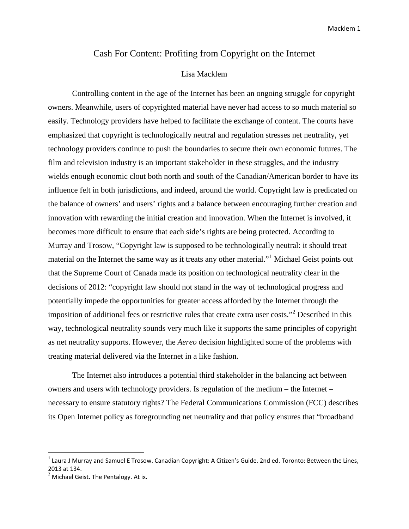# Cash For Content: Profiting from Copyright on the Internet

## Lisa Macklem

Controlling content in the age of the Internet has been an ongoing struggle for copyright owners. Meanwhile, users of copyrighted material have never had access to so much material so easily. Technology providers have helped to facilitate the exchange of content. The courts have emphasized that copyright is technologically neutral and regulation stresses net neutrality, yet technology providers continue to push the boundaries to secure their own economic futures. The film and television industry is an important stakeholder in these struggles, and the industry wields enough economic clout both north and south of the Canadian/American border to have its influence felt in both jurisdictions, and indeed, around the world. Copyright law is predicated on the balance of owners' and users' rights and a balance between encouraging further creation and innovation with rewarding the initial creation and innovation. When the Internet is involved, it becomes more difficult to ensure that each side's rights are being protected. According to Murray and Trosow, "Copyright law is supposed to be technologically neutral: it should treat material on the Internet the same way as it treats any other material."[1](#page-0-0) Michael Geist points out that the Supreme Court of Canada made its position on technological neutrality clear in the decisions of 2012: "copyright law should not stand in the way of technological progress and potentially impede the opportunities for greater access afforded by the Internet through the imposition of additional fees or restrictive rules that create extra user costs."[2](#page-0-1) Described in this way, technological neutrality sounds very much like it supports the same principles of copyright as net neutrality supports. However, the *Aereo* decision highlighted some of the problems with treating material delivered via the Internet in a like fashion.

The Internet also introduces a potential third stakeholder in the balancing act between owners and users with technology providers. Is regulation of the medium – the Internet – necessary to ensure statutory rights? The Federal Communications Commission (FCC) describes its Open Internet policy as foregrounding net neutrality and that policy ensures that "broadband

<span id="page-0-0"></span> $1$  Laura J Murray and Samuel E Trosow. Canadian Copyright: A Citizen's Guide. 2nd ed. Toronto: Between the Lines, 2013 at 134.

<span id="page-0-1"></span> $2$  Michael Geist. The Pentalogy. At ix.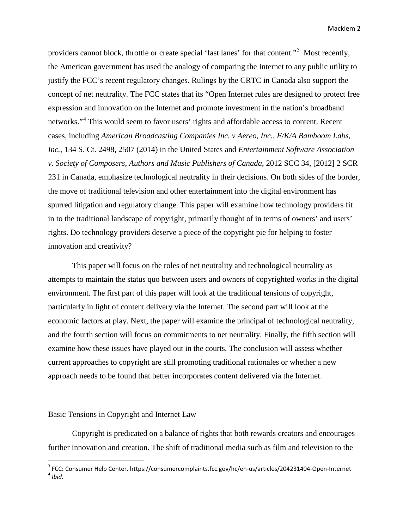providers cannot block, throttle or create special 'fast lanes' for that content."<sup>[3](#page-1-0)</sup> Most recently, the American government has used the analogy of comparing the Internet to any public utility to justify the FCC's recent regulatory changes. Rulings by the CRTC in Canada also support the concept of net neutrality. The FCC states that its "Open Internet rules are designed to protect free expression and innovation on the Internet and promote investment in the nation's broadband networks."<sup>[4](#page-1-1)</sup> This would seem to favor users' rights and affordable access to content. Recent cases, including *American Broadcasting Companies Inc. v Aereo, Inc., F/K/A Bamboom Labs, Inc.,* 134 S. Ct. 2498, 2507 (2014) in the United States and *Entertainment Software Association v. Society of Composers, Authors and Music Publishers of Canada*, 2012 SCC 34, [2012] 2 SCR 231 in Canada, emphasize technological neutrality in their decisions. On both sides of the border, the move of traditional television and other entertainment into the digital environment has spurred litigation and regulatory change. This paper will examine how technology providers fit in to the traditional landscape of copyright, primarily thought of in terms of owners' and users' rights. Do technology providers deserve a piece of the copyright pie for helping to foster innovation and creativity?

This paper will focus on the roles of net neutrality and technological neutrality as attempts to maintain the status quo between users and owners of copyrighted works in the digital environment. The first part of this paper will look at the traditional tensions of copyright, particularly in light of content delivery via the Internet. The second part will look at the economic factors at play. Next, the paper will examine the principal of technological neutrality, and the fourth section will focus on commitments to net neutrality. Finally, the fifth section will examine how these issues have played out in the courts. The conclusion will assess whether current approaches to copyright are still promoting traditional rationales or whether a new approach needs to be found that better incorporates content delivered via the Internet.

#### Basic Tensions in Copyright and Internet Law

Copyright is predicated on a balance of rights that both rewards creators and encourages further innovation and creation. The shift of traditional media such as film and television to the

<span id="page-1-1"></span><span id="page-1-0"></span><sup>&</sup>lt;sup>3</sup> FCC: Consumer Help Center. https://consumercomplaints.fcc.gov/hc/en-us/articles/204231404-Open-Internet 4 *Ibid*.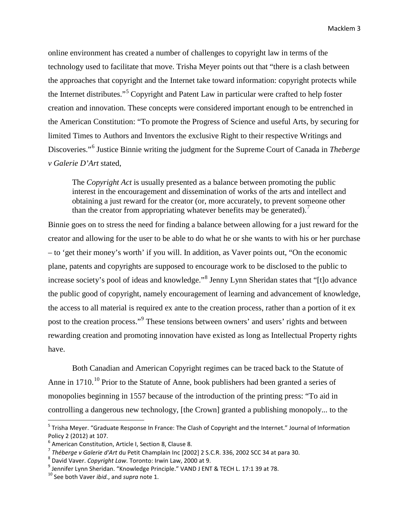online environment has created a number of challenges to copyright law in terms of the technology used to facilitate that move. Trisha Meyer points out that "there is a clash between the approaches that copyright and the Internet take toward information: copyright protects while the Internet distributes."[5](#page-2-0) Copyright and Patent Law in particular were crafted to help foster creation and innovation. These concepts were considered important enough to be entrenched in the American Constitution: "To promote the Progress of Science and useful Arts, by securing for limited Times to Authors and Inventors the exclusive Right to their respective Writings and Discoveries."[6](#page-2-1) Justice Binnie writing the judgment for the Supreme Court of Canada in *Theberge v Galerie D'Art* stated,

The *Copyright Act* is usually presented as a balance between promoting the public interest in the encouragement and dissemination of works of the arts and intellect and obtaining a just reward for the creator (or, more accurately, to prevent someone other than the creator from appropriating whatever benefits may be generated).<sup>[7](#page-2-2)</sup>

Binnie goes on to stress the need for finding a balance between allowing for a just reward for the creator and allowing for the user to be able to do what he or she wants to with his or her purchase – to 'get their money's worth' if you will. In addition, as Vaver points out, "On the economic plane, patents and copyrights are supposed to encourage work to be disclosed to the public to increase society's pool of ideas and knowledge."[8](#page-2-3) Jenny Lynn Sheridan states that "[t]o advance the public good of copyright, namely encouragement of learning and advancement of knowledge, the access to all material is required ex ante to the creation process, rather than a portion of it ex post to the creation process."[9](#page-2-4) These tensions between owners' and users' rights and between rewarding creation and promoting innovation have existed as long as Intellectual Property rights have.

Both Canadian and American Copyright regimes can be traced back to the Statute of Anne in 17[10](#page-2-5).<sup>10</sup> Prior to the Statute of Anne, book publishers had been granted a series of monopolies beginning in 1557 because of the introduction of the printing press: "To aid in controlling a dangerous new technology, [the Crown] granted a publishing monopoly... to the

<span id="page-2-0"></span><sup>&</sup>lt;sup>5</sup> Trisha Meyer. "Graduate Response In France: The Clash of Copyright and the Internet." Journal of Information Policy 2 (2012) at 107.

<span id="page-2-2"></span><span id="page-2-1"></span>

<sup>&</sup>lt;sup>6</sup> American Constitution, Article I, Section 8, Clause 8.<br><sup>7</sup> Théberge v Galerie d'Art du Petit Champlain Inc [2002] 2 S.C.R. 336, 2002 SCC 34 at para 30.

<span id="page-2-4"></span>

<span id="page-2-3"></span><sup>&</sup>lt;sup>8</sup> David Vaver. Copyright Law. Toronto: Irwin Law, 2000 at 9.<br><sup>9</sup> Jennifer Lynn Sheridan. "Knowledge Principle." VAND J ENT & TECH L. 17:1 39 at 78.<br><sup>10</sup> See both Vaver *ibid.*. and *supra* note 1.

<span id="page-2-5"></span>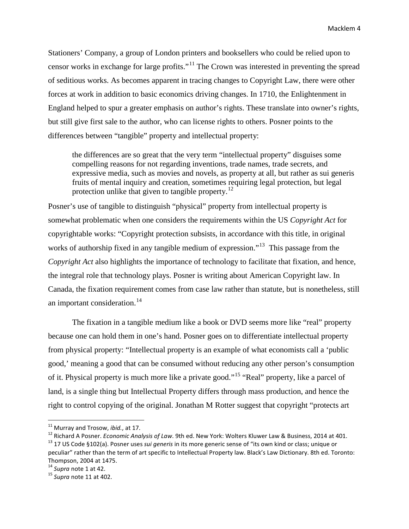Stationers' Company, a group of London printers and booksellers who could be relied upon to censor works in exchange for large profits."[11](#page-3-0) The Crown was interested in preventing the spread of seditious works. As becomes apparent in tracing changes to Copyright Law, there were other forces at work in addition to basic economics driving changes. In 1710, the Enlightenment in England helped to spur a greater emphasis on author's rights. These translate into owner's rights, but still give first sale to the author, who can license rights to others. Posner points to the differences between "tangible" property and intellectual property:

the differences are so great that the very term "intellectual property" disguises some compelling reasons for not regarding inventions, trade names, trade secrets, and expressive media, such as movies and novels, as property at all, but rather as sui generis fruits of mental inquiry and creation, sometimes requiring legal protection, but legal protection unlike that given to tangible property.<sup>[12](#page-3-1)</sup>

Posner's use of tangible to distinguish "physical" property from intellectual property is somewhat problematic when one considers the requirements within the US *Copyright Act* for copyrightable works: "Copyright protection subsists, in accordance with this title, in original works of authorship fixed in any tangible medium of expression."<sup>13</sup> This passage from the *Copyright Act* also highlights the importance of technology to facilitate that fixation, and hence, the integral role that technology plays. Posner is writing about American Copyright law. In Canada, the fixation requirement comes from case law rather than statute, but is nonetheless, still an important consideration.<sup>[14](#page-3-3)</sup>

The fixation in a tangible medium like a book or DVD seems more like "real" property because one can hold them in one's hand. Posner goes on to differentiate intellectual property from physical property: "Intellectual property is an example of what economists call a 'public good,' meaning a good that can be consumed without reducing any other person's consumption of it. Physical property is much more like a private good."[15](#page-3-4) "Real" property, like a parcel of land, is a single thing but Intellectual Property differs through mass production, and hence the right to control copying of the original. Jonathan M Rotter suggest that copyright "protects art

<span id="page-3-2"></span>

<span id="page-3-1"></span><span id="page-3-0"></span><sup>&</sup>lt;sup>11</sup> Murray and Trosow, *ibid.*, at 17.<br><sup>12</sup> Richard A Posner. *Economic Analysis of Law*. 9th ed. New York: Wolters Kluwer Law & Business, 2014 at 401.<br><sup>13</sup> 17 US Code §102(a). Posner uses *sui generis* in its more gener peculiar" rather than the term of art specific to Intellectual Property law. Black's Law Dictionary. 8th ed. Toronto: Thompson, 2004 at 1475. <sup>14</sup> *Supra* note 1 at 42. <sup>15</sup> *Supra* note 11 at 402.

<span id="page-3-3"></span>

<span id="page-3-4"></span>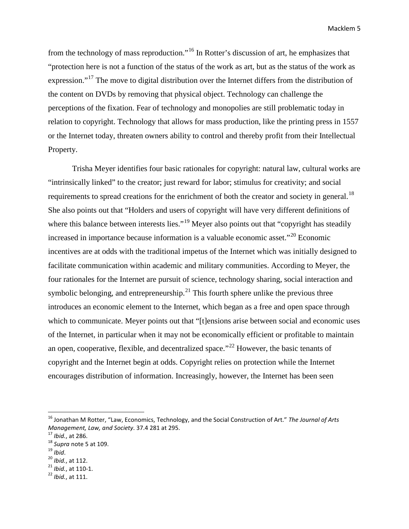from the technology of mass reproduction."[16](#page-4-0) In Rotter's discussion of art, he emphasizes that "protection here is not a function of the status of the work as art, but as the status of the work as expression."<sup>[17](#page-4-1)</sup> The move to digital distribution over the Internet differs from the distribution of the content on DVDs by removing that physical object. Technology can challenge the perceptions of the fixation. Fear of technology and monopolies are still problematic today in relation to copyright. Technology that allows for mass production, like the printing press in 1557 or the Internet today, threaten owners ability to control and thereby profit from their Intellectual Property.

Trisha Meyer identifies four basic rationales for copyright: natural law, cultural works are "intrinsically linked" to the creator; just reward for labor; stimulus for creativity; and social requirements to spread creations for the enrichment of both the creator and society in general.<sup>[18](#page-4-2)</sup> She also points out that "Holders and users of copyright will have very different definitions of where this balance between interests lies."<sup>[19](#page-4-3)</sup> Meyer also points out that "copyright has steadily increased in importance because information is a valuable economic asset."<sup>[20](#page-4-4)</sup> Economic incentives are at odds with the traditional impetus of the Internet which was initially designed to facilitate communication within academic and military communities. According to Meyer, the four rationales for the Internet are pursuit of science, technology sharing, social interaction and symbolic belonging, and entrepreneurship.<sup>[21](#page-4-5)</sup> This fourth sphere unlike the previous three introduces an economic element to the Internet, which began as a free and open space through which to communicate. Meyer points out that "[t]ensions arise between social and economic uses of the Internet, in particular when it may not be economically efficient or profitable to maintain an open, cooperative, flexible, and decentralized space."<sup>[22](#page-4-6)</sup> However, the basic tenants of copyright and the Internet begin at odds. Copyright relies on protection while the Internet encourages distribution of information. Increasingly, however, the Internet has been seen

<span id="page-4-0"></span> <sup>16</sup> Jonathan M Rotter, "Law, Economics, Technology, and the Social Construction of Art." *The Journal of Arts Management, Law, and Society*. 37.4 281 at 295.<br><sup>17</sup> *Ibid.*, at 286.<br><sup>18</sup> *Supra* note 5 at 109.<br><sup>20</sup> *Ibid.*, at 112.<br><sup>21</sup> *Ibid.*, at 110-1.<br><sup>22</sup> *Ibid.*, at 111.

<span id="page-4-1"></span>

<span id="page-4-2"></span>

<span id="page-4-3"></span>

<span id="page-4-5"></span><span id="page-4-4"></span>

<span id="page-4-6"></span>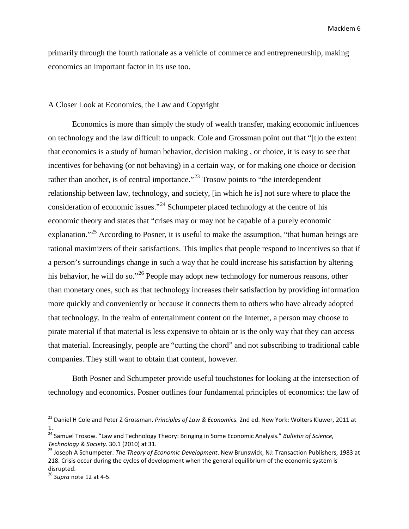primarily through the fourth rationale as a vehicle of commerce and entrepreneurship, making economics an important factor in its use too.

#### A Closer Look at Economics, the Law and Copyright

Economics is more than simply the study of wealth transfer, making economic influences on technology and the law difficult to unpack. Cole and Grossman point out that "[t]o the extent that economics is a study of human behavior, decision making , or choice, it is easy to see that incentives for behaving (or not behaving) in a certain way, or for making one choice or decision rather than another, is of central importance."<sup>[23](#page-5-0)</sup> Trosow points to "the interdependent" relationship between law, technology, and society, [in which he is] not sure where to place the consideration of economic issues."<sup>[24](#page-5-1)</sup> Schumpeter placed technology at the centre of his economic theory and states that "crises may or may not be capable of a purely economic explanation."<sup>[25](#page-5-2)</sup> According to Posner, it is useful to make the assumption, "that human beings are rational maximizers of their satisfactions. This implies that people respond to incentives so that if a person's surroundings change in such a way that he could increase his satisfaction by altering his behavior, he will do so."<sup>[26](#page-5-3)</sup> People may adopt new technology for numerous reasons, other than monetary ones, such as that technology increases their satisfaction by providing information more quickly and conveniently or because it connects them to others who have already adopted that technology. In the realm of entertainment content on the Internet, a person may choose to pirate material if that material is less expensive to obtain or is the only way that they can access that material. Increasingly, people are "cutting the chord" and not subscribing to traditional cable companies. They still want to obtain that content, however.

Both Posner and Schumpeter provide useful touchstones for looking at the intersection of technology and economics. Posner outlines four fundamental principles of economics: the law of

<span id="page-5-0"></span> <sup>23</sup> Daniel H Cole and Peter Z Grossman. *Principles of Law & Economi*cs. 2nd ed. New York: Wolters Kluwer, 2011 at 1.

<span id="page-5-1"></span><sup>24</sup> Samuel Trosow. "Law and Technology Theory: Bringing in Some Economic Analysis." *Bulletin of Science, Technology & Society.* 30.1 (2010) at 31.<br><sup>25</sup> Joseph A Schumpeter. *The Theory of Economic Development*. New Brunswick, NJ: Transaction Publishers, 1983 at

<span id="page-5-2"></span><sup>218.</sup> Crisis occur during the cycles of development when the general equilibrium of the economic system is disrupted.

<span id="page-5-3"></span><sup>26</sup> *Supra* note 12 at 4-5.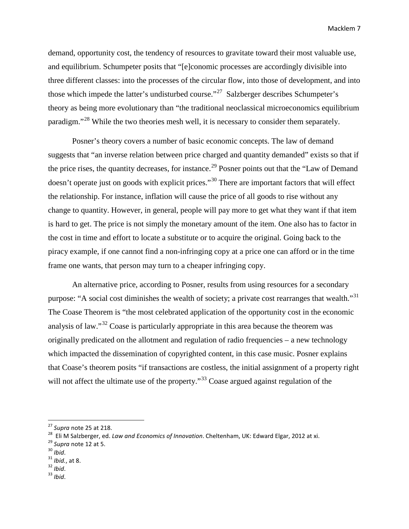demand, opportunity cost, the tendency of resources to gravitate toward their most valuable use, and equilibrium. Schumpeter posits that "[e]conomic processes are accordingly divisible into three different classes: into the processes of the circular flow, into those of development, and into those which impede the latter's undisturbed course."<sup>[27](#page-6-0)</sup> Salzberger describes Schumpeter's theory as being more evolutionary than "the traditional neoclassical microeconomics equilibrium paradigm."[28](#page-6-1) While the two theories mesh well, it is necessary to consider them separately.

Posner's theory covers a number of basic economic concepts. The law of demand suggests that "an inverse relation between price charged and quantity demanded" exists so that if the price rises, the quantity decreases, for instance.<sup>[29](#page-6-2)</sup> Posner points out that the "Law of Demand" doesn't operate just on goods with explicit prices."<sup>[30](#page-6-3)</sup> There are important factors that will effect the relationship. For instance, inflation will cause the price of all goods to rise without any change to quantity. However, in general, people will pay more to get what they want if that item is hard to get. The price is not simply the monetary amount of the item. One also has to factor in the cost in time and effort to locate a substitute or to acquire the original. Going back to the piracy example, if one cannot find a non-infringing copy at a price one can afford or in the time frame one wants, that person may turn to a cheaper infringing copy.

An alternative price, according to Posner, results from using resources for a secondary purpose: "A social cost diminishes the wealth of society; a private cost rearranges that wealth."<sup>[31](#page-6-4)</sup> The Coase Theorem is "the most celebrated application of the opportunity cost in the economic analysis of law."[32](#page-6-5) Coase is particularly appropriate in this area because the theorem was originally predicated on the allotment and regulation of radio frequencies – a new technology which impacted the dissemination of copyrighted content, in this case music. Posner explains that Coase's theorem posits "if transactions are costless, the initial assignment of a property right will not affect the ultimate use of the property."<sup>[33](#page-6-6)</sup> Coase argued against regulation of the

<span id="page-6-5"></span>

<span id="page-6-1"></span><span id="page-6-0"></span><sup>&</sup>lt;sup>27</sup> Supra note 25 at 218.<br>
<sup>28</sup> Eli M Salzberger, ed. *Law and Economics of Innovation*. Cheltenham, UK: Edward Elgar, 2012 at xi.<br>
<sup>29</sup> Supra note 12 at 5.<br>
<sup>30</sup> Ibid.<br>
<sup>31</sup> Ibid., at 8.<br>
<sup>32</sup> Ibid.

<span id="page-6-2"></span>

<span id="page-6-3"></span>

<span id="page-6-4"></span>

<span id="page-6-6"></span>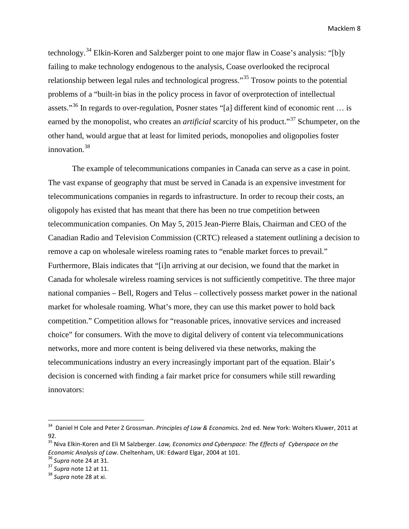technology.[34](#page-7-0) Elkin-Koren and Salzberger point to one major flaw in Coase's analysis: "[b]y failing to make technology endogenous to the analysis, Coase overlooked the reciprocal relationship between legal rules and technological progress."[35](#page-7-1) Trosow points to the potential problems of a "built-in bias in the policy process in favor of overprotection of intellectual assets."<sup>[36](#page-7-2)</sup> In regards to over-regulation, Posner states "[a] different kind of economic rent ... is earned by the monopolist, who creates an *artificial* scarcity of his product."<sup>[37](#page-7-3)</sup> Schumpeter, on the other hand, would argue that at least for limited periods, monopolies and oligopolies foster innovation.<sup>[38](#page-7-4)</sup>

The example of telecommunications companies in Canada can serve as a case in point. The vast expanse of geography that must be served in Canada is an expensive investment for telecommunications companies in regards to infrastructure. In order to recoup their costs, an oligopoly has existed that has meant that there has been no true competition between telecommunication companies. On May 5, 2015 Jean-Pierre Blais, Chairman and CEO of the Canadian Radio and Television Commission (CRTC) released a statement outlining a decision to remove a cap on wholesale wireless roaming rates to "enable market forces to prevail." Furthermore, Blais indicates that "[i]n arriving at our decision, we found that the market in Canada for wholesale wireless roaming services is not sufficiently competitive. The three major national companies – Bell, Rogers and Telus – collectively possess market power in the national market for wholesale roaming. What's more, they can use this market power to hold back competition." Competition allows for "reasonable prices, innovative services and increased choice" for consumers. With the move to digital delivery of content via telecommunications networks, more and more content is being delivered via these networks, making the telecommunications industry an every increasingly important part of the equation. Blair's decision is concerned with finding a fair market price for consumers while still rewarding innovators:

<span id="page-7-0"></span> <sup>34</sup> Daniel H Cole and Peter Z Grossman. *Principles of Law & Economi*cs. 2nd ed. New York: Wolters Kluwer, 2011 at 92.

<span id="page-7-1"></span><sup>35</sup> Niva Elkin-Koren and Eli M Salzberger. *Law, Economics and Cyberspace: The Effects of Cyberspace on the Economic Analysis of Law*. Cheltenham, UK: Edward Elgar, 2004 at 101.<br><sup>36</sup> *Supra* note 24 at 31. 37 *Supra* note 12 at 11. 38 *Supra* note 28 at xi.

<span id="page-7-2"></span>

<span id="page-7-3"></span>

<span id="page-7-4"></span>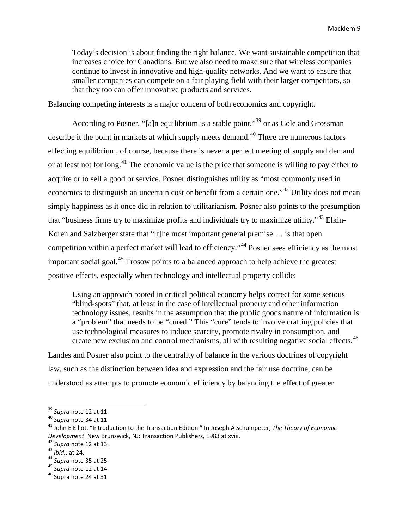Today's decision is about finding the right balance. We want sustainable competition that increases choice for Canadians. But we also need to make sure that wireless companies continue to invest in innovative and high-quality networks. And we want to ensure that smaller companies can compete on a fair playing field with their larger competitors, so that they too can offer innovative products and services.

Balancing competing interests is a major concern of both economics and copyright.

According to Posner, "[a]n equilibrium is a stable point,"<sup>[39](#page-8-0)</sup> or as Cole and Grossman describe it the point in markets at which supply meets demand.<sup>[40](#page-8-1)</sup> There are numerous factors effecting equilibrium, of course, because there is never a perfect meeting of supply and demand or at least not for long.<sup>[41](#page-8-2)</sup> The economic value is the price that someone is willing to pay either to acquire or to sell a good or service. Posner distinguishes utility as "most commonly used in economics to distinguish an uncertain cost or benefit from a certain one."<sup>[42](#page-8-3)</sup> Utility does not mean simply happiness as it once did in relation to utilitarianism. Posner also points to the presumption that "business firms try to maximize profits and individuals try to maximize utility."[43](#page-8-4) Elkin-Koren and Salzberger state that "[t]he most important general premise … is that open competition within a perfect market will lead to efficiency."[44](#page-8-5) Posner sees efficiency as the most important social goal.<sup>[45](#page-8-6)</sup> Trosow points to a balanced approach to help achieve the greatest positive effects, especially when technology and intellectual property collide:

Using an approach rooted in critical political economy helps correct for some serious "blind-spots" that, at least in the case of intellectual property and other information technology issues, results in the assumption that the public goods nature of information is a "problem" that needs to be "cured." This "cure" tends to involve crafting policies that use technological measures to induce scarcity, promote rivalry in consumption, and create new exclusion and control mechanisms, all with resulting negative social effects.<sup>[46](#page-8-7)</sup>

Landes and Posner also point to the centrality of balance in the various doctrines of copyright law, such as the distinction between idea and expression and the fair use doctrine, can be understood as attempts to promote economic efficiency by balancing the effect of greater

<span id="page-8-2"></span><span id="page-8-1"></span>

<span id="page-8-0"></span><sup>&</sup>lt;sup>39</sup> Supra note 12 at 11.<br><sup>40</sup> Supra note 34 at 11.<br><sup>41</sup> John E Elliot. "Introduction to the Transaction Edition." In Joseph A Schumpeter, *The Theory of Economic Development*. New Brunswick, NJ: Transaction Publishers, 1983 at xviii.<br>
<sup>42</sup> *Supra* note 12 at 13.<br>
<sup>43</sup> *Ibid.*, at 24.<br>
<sup>45</sup> *Supra* note 12 at 14.<br>
<sup>45</sup> *Supra* note 24 at 31.

<span id="page-8-3"></span>

<span id="page-8-4"></span>

<span id="page-8-5"></span>

<span id="page-8-6"></span>

<span id="page-8-7"></span>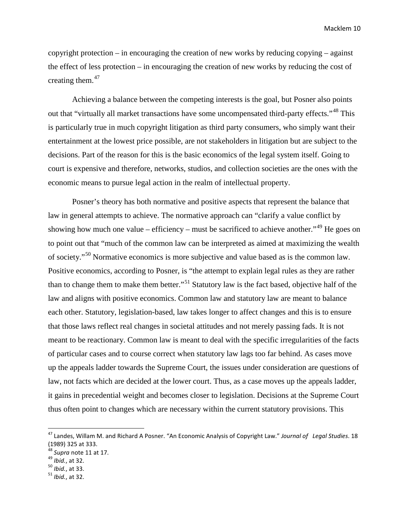copyright protection – in encouraging the creation of new works by reducing copying – against the effect of less protection – in encouraging the creation of new works by reducing the cost of creating them.[47](#page-9-0)

Achieving a balance between the competing interests is the goal, but Posner also points out that "virtually all market transactions have some uncompensated third-party effects."<sup>[48](#page-9-1)</sup> This is particularly true in much copyright litigation as third party consumers, who simply want their entertainment at the lowest price possible, are not stakeholders in litigation but are subject to the decisions. Part of the reason for this is the basic economics of the legal system itself. Going to court is expensive and therefore, networks, studios, and collection societies are the ones with the economic means to pursue legal action in the realm of intellectual property.

Posner's theory has both normative and positive aspects that represent the balance that law in general attempts to achieve. The normative approach can "clarify a value conflict by showing how much one value – efficiency – must be sacrificed to achieve another."<sup>[49](#page-9-2)</sup> He goes on to point out that "much of the common law can be interpreted as aimed at maximizing the wealth of society."[50](#page-9-3) Normative economics is more subjective and value based as is the common law. Positive economics, according to Posner, is "the attempt to explain legal rules as they are rather than to change them to make them better."[51](#page-9-4) Statutory law is the fact based, objective half of the law and aligns with positive economics. Common law and statutory law are meant to balance each other. Statutory, legislation-based, law takes longer to affect changes and this is to ensure that those laws reflect real changes in societal attitudes and not merely passing fads. It is not meant to be reactionary. Common law is meant to deal with the specific irregularities of the facts of particular cases and to course correct when statutory law lags too far behind. As cases move up the appeals ladder towards the Supreme Court, the issues under consideration are questions of law, not facts which are decided at the lower court. Thus, as a case moves up the appeals ladder, it gains in precedential weight and becomes closer to legislation. Decisions at the Supreme Court thus often point to changes which are necessary within the current statutory provisions. This

<span id="page-9-0"></span> <sup>47</sup> Landes, Willam M. and Richard A Posner. "An Economic Analysis of Copyright Law." *Journal of Legal Studies*. <sup>18</sup> (1989) 325 at 333.

<span id="page-9-1"></span><sup>48</sup> *Supra* note 11 at 17. <sup>49</sup> *Ibid.*, at 32. <sup>50</sup> *Ibid.*, at 33. <sup>51</sup> *Ibid.*, at 32.

<span id="page-9-3"></span><span id="page-9-2"></span>

<span id="page-9-4"></span>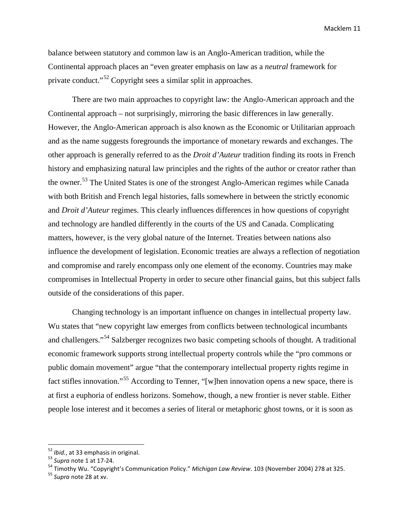balance between statutory and common law is an Anglo-American tradition, while the Continental approach places an "even greater emphasis on law as a *neutral* framework for private conduct."[52](#page-10-0) Copyright sees a similar split in approaches.

There are two main approaches to copyright law: the Anglo-American approach and the Continental approach – not surprisingly, mirroring the basic differences in law generally. However, the Anglo-American approach is also known as the Economic or Utilitarian approach and as the name suggests foregrounds the importance of monetary rewards and exchanges. The other approach is generally referred to as the *Droit d'Auteur* tradition finding its roots in French history and emphasizing natural law principles and the rights of the author or creator rather than the owner.<sup>[53](#page-10-1)</sup> The United States is one of the strongest Anglo-American regimes while Canada with both British and French legal histories, falls somewhere in between the strictly economic and *Droit d'Auteur* regimes. This clearly influences differences in how questions of copyright and technology are handled differently in the courts of the US and Canada. Complicating matters, however, is the very global nature of the Internet. Treaties between nations also influence the development of legislation. Economic treaties are always a reflection of negotiation and compromise and rarely encompass only one element of the economy. Countries may make compromises in Intellectual Property in order to secure other financial gains, but this subject falls outside of the considerations of this paper.

Changing technology is an important influence on changes in intellectual property law. Wu states that "new copyright law emerges from conflicts between technological incumbants and challengers."[54](#page-10-2) Salzberger recognizes two basic competing schools of thought. A traditional economic framework supports strong intellectual property controls while the "pro commons or public domain movement" argue "that the contemporary intellectual property rights regime in fact stifles innovation."[55](#page-10-3) According to Tenner, "[w]hen innovation opens a new space, there is at first a euphoria of endless horizons. Somehow, though, a new frontier is never stable. Either people lose interest and it becomes a series of literal or metaphoric ghost towns, or it is soon as

<span id="page-10-2"></span><span id="page-10-1"></span>

<span id="page-10-0"></span><sup>&</sup>lt;sup>52</sup> *Ibid.*, at 33 emphasis in original.<br><sup>53</sup> *Supra* note 1 at 17-24.<br><sup>54</sup> Timothy Wu. "Copyright's Communication Policy." *Michigan Law Review*. 103 (November 2004) 278 at 325.<br><sup>55</sup> *Supra* note 28 at xv.

<span id="page-10-3"></span>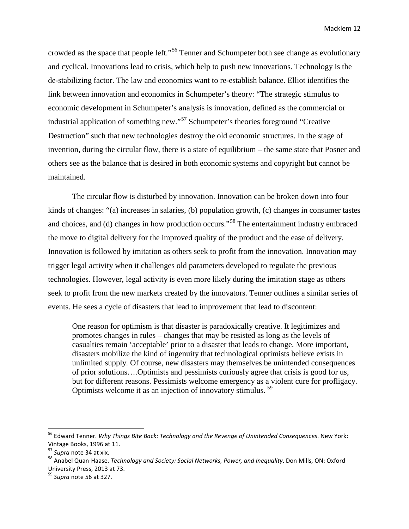crowded as the space that people left."[56](#page-11-0) Tenner and Schumpeter both see change as evolutionary and cyclical. Innovations lead to crisis, which help to push new innovations. Technology is the de-stabilizing factor. The law and economics want to re-establish balance. Elliot identifies the link between innovation and economics in Schumpeter's theory: "The strategic stimulus to economic development in Schumpeter's analysis is innovation, defined as the commercial or industrial application of something new."[57](#page-11-1) Schumpeter's theories foreground "Creative Destruction" such that new technologies destroy the old economic structures. In the stage of invention, during the circular flow, there is a state of equilibrium – the same state that Posner and others see as the balance that is desired in both economic systems and copyright but cannot be maintained.

The circular flow is disturbed by innovation. Innovation can be broken down into four kinds of changes: "(a) increases in salaries, (b) population growth, (c) changes in consumer tastes and choices, and (d) changes in how production occurs."<sup>[58](#page-11-2)</sup> The entertainment industry embraced the move to digital delivery for the improved quality of the product and the ease of delivery. Innovation is followed by imitation as others seek to profit from the innovation. Innovation may trigger legal activity when it challenges old parameters developed to regulate the previous technologies. However, legal activity is even more likely during the imitation stage as others seek to profit from the new markets created by the innovators. Tenner outlines a similar series of events. He sees a cycle of disasters that lead to improvement that lead to discontent:

One reason for optimism is that disaster is paradoxically creative. It legitimizes and promotes changes in rules – changes that may be resisted as long as the levels of casualties remain 'acceptable' prior to a disaster that leads to change. More important, disasters mobilize the kind of ingenuity that technological optimists believe exists in unlimited supply. Of course, new disasters may themselves be unintended consequences of prior solutions….Optimists and pessimists curiously agree that crisis is good for us, but for different reasons. Pessimists welcome emergency as a violent cure for profligacy. Optimists welcome it as an injection of innovatory stimulus. [59](#page-11-3)

<span id="page-11-0"></span> <sup>56</sup> Edward Tenner. *Why Things Bite Back: Technology and the Revenge of Unintended Consequences*. New York: Vintage Books, 1996 at 11.<br><sup>57</sup> Supra note 34 at xix.

<span id="page-11-1"></span>

<span id="page-11-2"></span><sup>&</sup>lt;sup>58</sup> Anabel Quan-Haase. *Technology and Society: Social Networks, Power, and Inequality*. Don Mills, ON: Oxford University Press, 2013 at 73.

<span id="page-11-3"></span><sup>59</sup> *Supra* note 56 at 327.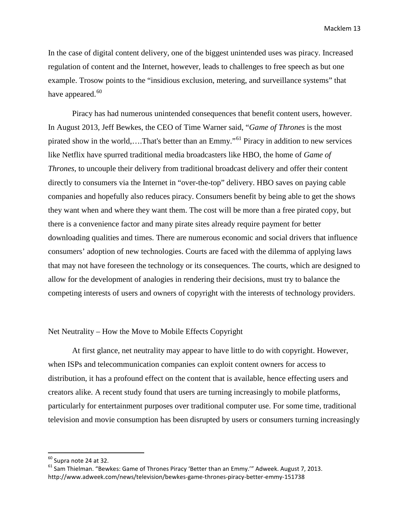In the case of digital content delivery, one of the biggest unintended uses was piracy. Increased regulation of content and the Internet, however, leads to challenges to free speech as but one example. Trosow points to the "insidious exclusion, metering, and surveillance systems" that have appeared.<sup>[60](#page-12-0)</sup>

Piracy has had numerous unintended consequences that benefit content users, however. In August 2013, Jeff Bewkes, the CEO of Time Warner said, "*Game of Thrones* is the most pirated show in the world,....That's better than an  $Emmy.^{61}$  $Emmy.^{61}$  $Emmy.^{61}$  Piracy in addition to new services like Netflix have spurred traditional media broadcasters like HBO, the home of *Game of Thrones*, to uncouple their delivery from traditional broadcast delivery and offer their content directly to consumers via the Internet in "over-the-top" delivery. HBO saves on paying cable companies and hopefully also reduces piracy. Consumers benefit by being able to get the shows they want when and where they want them. The cost will be more than a free pirated copy, but there is a convenience factor and many pirate sites already require payment for better downloading qualities and times. There are numerous economic and social drivers that influence consumers' adoption of new technologies. Courts are faced with the dilemma of applying laws that may not have foreseen the technology or its consequences. The courts, which are designed to allow for the development of analogies in rendering their decisions, must try to balance the competing interests of users and owners of copyright with the interests of technology providers.

## Net Neutrality – How the Move to Mobile Effects Copyright

At first glance, net neutrality may appear to have little to do with copyright. However, when ISPs and telecommunication companies can exploit content owners for access to distribution, it has a profound effect on the content that is available, hence effecting users and creators alike. A recent study found that users are turning increasingly to mobile platforms, particularly for entertainment purposes over traditional computer use. For some time, traditional television and movie consumption has been disrupted by users or consumers turning increasingly

<span id="page-12-1"></span><span id="page-12-0"></span> $^{60}$  Supra note 24 at 32.<br> $^{61}$  Sam Thielman. "Bewkes: Game of Thrones Piracy 'Better than an Emmy.'" Adweek. August 7, 2013. http://www.adweek.com/news/television/bewkes-game-thrones-piracy-better-emmy-151738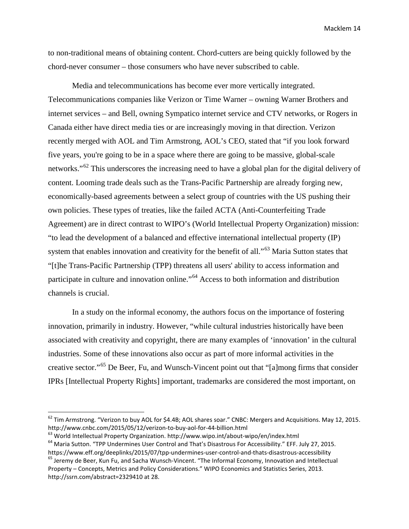to non-traditional means of obtaining content. Chord-cutters are being quickly followed by the chord-never consumer – those consumers who have never subscribed to cable.

Media and telecommunications has become ever more vertically integrated. Telecommunications companies like Verizon or Time Warner – owning Warner Brothers and internet services – and Bell, owning Sympatico internet service and CTV networks, or Rogers in Canada either have direct media ties or are increasingly moving in that direction. Verizon recently merged with AOL and Tim Armstrong, AOL's CEO, stated that "if you look forward five years, you're going to be in a space where there are going to be massive, global-scale networks."<sup>[62](#page-13-0)</sup> This underscores the increasing need to have a global plan for the digital delivery of content. Looming trade deals such as the Trans-Pacific Partnership are already forging new, economically-based agreements between a select group of countries with the US pushing their own policies. These types of treaties, like the failed ACTA (Anti-Counterfeiting Trade Agreement) are in direct contrast to WIPO's (World Intellectual Property Organization) mission: "to lead the development of a balanced and effective international intellectual property (IP) system that enables innovation and creativity for the benefit of all."<sup>[63](#page-13-1)</sup> Maria Sutton states that "[t]he Trans-Pacific Partnership (TPP) threatens all users' ability to access information and participate in culture and innovation online."[64](#page-13-2) Access to both information and distribution channels is crucial.

In a study on the informal economy, the authors focus on the importance of fostering innovation, primarily in industry. However, "while cultural industries historically have been associated with creativity and copyright, there are many examples of 'innovation' in the cultural industries. Some of these innovations also occur as part of more informal activities in the creative sector."<sup>[65](#page-13-3)</sup> De Beer, Fu, and Wunsch-Vincent point out that "[a]mong firms that consider IPRs [Intellectual Property Rights] important, trademarks are considered the most important, on

<span id="page-13-0"></span> $62$  Tim Armstrong. "Verizon to buy AOL for \$4.4B; AOL shares soar." CNBC: Mergers and Acquisitions. May 12, 2015. http://www.cnbc.com/2015/05/12/verizon-to-buy-aol-for-44-billion.html<br><sup>63</sup> World Intellectual Property Organization. http://www.wipo.int/about-wipo/en/index.html<br><sup>64</sup> Maria Sutton. "TPP Undermines User Control and That's D

<span id="page-13-1"></span>

<span id="page-13-2"></span>

<span id="page-13-3"></span>https://www.eff.org/deeplinks/2015/07/tpp-undermines-user-control-and-thats-disastrous-accessibility <sup>65</sup> Jeremy de Beer, Kun Fu, and Sacha Wunsch-Vincent. "The Informal Economy, Innovation and Intellectual Property – Concepts, Metrics and Policy Considerations." WIPO Economics and Statistics Series, 2013. http://ssrn.com/abstract=2329410 at 28.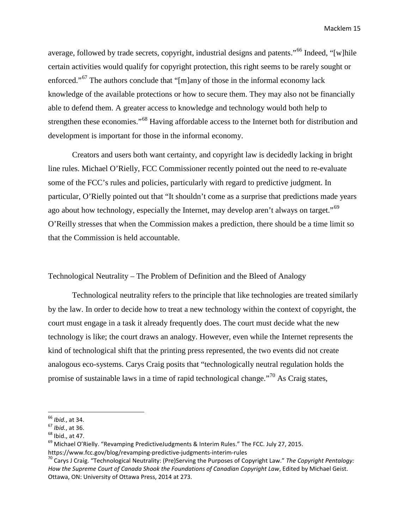average, followed by trade secrets, copyright, industrial designs and patents."<sup>[66](#page-14-0)</sup> Indeed, "[w]hile certain activities would qualify for copyright protection, this right seems to be rarely sought or enforced."[67](#page-14-1) The authors conclude that "[m]any of those in the informal economy lack knowledge of the available protections or how to secure them. They may also not be financially able to defend them. A greater access to knowledge and technology would both help to strengthen these economies."<sup>[68](#page-14-2)</sup> Having affordable access to the Internet both for distribution and development is important for those in the informal economy.

Creators and users both want certainty, and copyright law is decidedly lacking in bright line rules. Michael O'Rielly, FCC Commissioner recently pointed out the need to re-evaluate some of the FCC's rules and policies, particularly with regard to predictive judgment. In particular, O'Rielly pointed out that "It shouldn't come as a surprise that predictions made years ago about how technology, especially the Internet, may develop aren't always on target."<sup>[69](#page-14-3)</sup> O'Reilly stresses that when the Commission makes a prediction, there should be a time limit so that the Commission is held accountable.

## Technological Neutrality – The Problem of Definition and the Bleed of Analogy

Technological neutrality refers to the principle that like technologies are treated similarly by the law. In order to decide how to treat a new technology within the context of copyright, the court must engage in a task it already frequently does. The court must decide what the new technology is like; the court draws an analogy. However, even while the Internet represents the kind of technological shift that the printing press represented, the two events did not create analogous eco-systems. Carys Craig posits that "technologically neutral regulation holds the promise of sustainable laws in a time of rapid technological change."[70](#page-14-4) As Craig states,

<span id="page-14-2"></span>

<span id="page-14-1"></span><span id="page-14-0"></span><sup>&</sup>lt;sup>66</sup> *Ibid.*, at 34.<br><sup>67</sup> *Ibid.*, at 36.<br><sup>68</sup> Ibid., at 47.<br><sup>69</sup> Michael O'Rielly. "Revamping PredictiveJudgments & Interim Rules." The FCC. July 27, 2015.

<span id="page-14-4"></span><span id="page-14-3"></span>https://www.fcc.gov/blog/revamping-predictive-judgments-interim-rules<br><sup>70</sup> Carys J Craig. "Technological Neutrality: (Pre)Serving the Purposes of Copyright Law." *The Copyright Pentalogy: How the Supreme Court of Canada Shook the Foundations of Canadian Copyright Law*, Edited by Michael Geist. Ottawa, ON: University of Ottawa Press, 2014 at 273.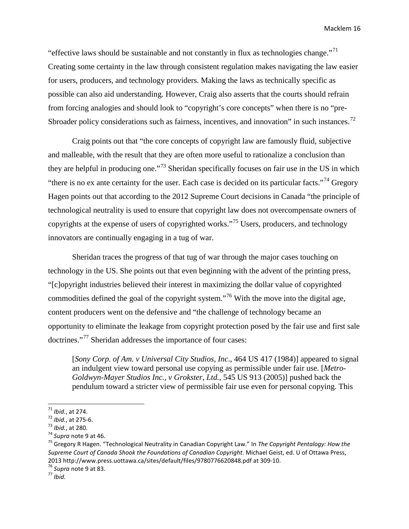"effective laws should be sustainable and not constantly in flux as technologies change."<sup>[71](#page-15-0)</sup> Creating some certainty in the law through consistent regulation makes navigating the law easier for users, producers, and technology providers. Making the laws as technically specific as possible can also aid understanding. However, Craig also asserts that the courts should refrain from forcing analogies and should look to "copyright's core concepts" when there is no "pre-Sbroader policy considerations such as fairness, incentives, and innovation" in such instances.<sup>[72](#page-15-1)</sup>

Craig points out that "the core concepts of copyright law are famously fluid, subjective and malleable, with the result that they are often more useful to rationalize a conclusion than they are helpful in producing one."<sup>[73](#page-15-2)</sup> Sheridan specifically focuses on fair use in the US in which "there is no ex ante certainty for the user. Each case is decided on its particular facts."<sup>[74](#page-15-3)</sup> Gregory Hagen points out that according to the 2012 Supreme Court decisions in Canada "the principle of technological neutrality is used to ensure that copyright law does not overcompensate owners of copyrights at the expense of users of copyrighted works."[75](#page-15-4) Users, producers, and technology innovators are continually engaging in a tug of war.

Sheridan traces the progress of that tug of war through the major cases touching on technology in the US. She points out that even beginning with the advent of the printing press, "[c]opyright industries believed their interest in maximizing the dollar value of copyrighted commodities defined the goal of the copyright system."<sup>[76](#page-15-5)</sup> With the move into the digital age, content producers went on the defensive and "the challenge of technology became an opportunity to eliminate the leakage from copyright protection posed by the fair use and first sale doctrines."[77](#page-15-6) Sheridan addresses the importance of four cases:

[*Sony Corp. of Am. v Universal City Studios, Inc*., 464 US 417 (1984)] appeared to signal an indulgent view toward personal use copying as permissible under fair use. [*Metro-Goldwyn-Mayer Studios Inc., v Grokster, Ltd.*, 545 US 913 (2005)] pushed back the pendulum toward a stricter view of permissible fair use even for personal copying. This

<span id="page-15-1"></span>

<span id="page-15-2"></span>

<span id="page-15-4"></span><span id="page-15-3"></span>

<span id="page-15-0"></span><sup>&</sup>lt;sup>71</sup> *Ibid.*, at 274.<br><sup>72</sup> *Ibid.*, at 275-6.<br><sup>73</sup> *Ibid.*, at 280.<br><sup>74</sup> *Supra* note 9 at 46.<br><sup>75</sup> Gregory R Hagen. "Technological Neutrality in Canadian Copyright Law." In *The Copyright Pentalogy: How the Supreme Court of Canada Shook the Foundations of Canadian Copyright*. Michael Geist, ed. U of Ottawa Press, 2013 http://www.press.uottawa.ca/sites/default/files/9780776620848.pdf at 309-10.<br><sup>76</sup> *Supra* note 9 at 83.<br><sup>77</sup> *Ibid.* 

<span id="page-15-5"></span>

<span id="page-15-6"></span>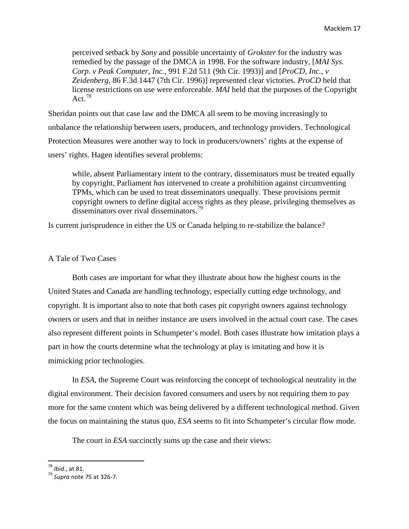perceived setback by *Sony* and possible uncertainty of *Grokster* for the industry was remedied by the passage of the DMCA in 1998. For the software industry, [*MAI Sys. Corp. v Peak Computer, Inc.*, 991 F.2d 511 (9th Cir. 1993)] and [*ProCD, Inc., v Zeidenberg*, 86 F.3d 1447 (7th Cir. 1996)] represented clear victories. *ProCD* held that license restrictions on use were enforceable. *MAI* held that the purposes of the Copyright Act.  $78$ 

Sheridan points out that case law and the DMCA all seem to be moving increasingly to unbalance the relationship between users, producers, and technology providers. Technological Protection Measures were another way to lock in producers/owners' rights at the expense of users' rights. Hagen identifies several problems:

while, absent Parliamentary intent to the contrary, disseminators must be treated equally by copyright, Parliament *has* intervened to create a prohibition against circumventing TPMs, which can be used to treat disseminators unequally. These provisions permit copyright owners to define digital access rights as they please, privileging themselves as disseminators over rival disseminators.<sup>[79](#page-16-1)</sup>

Is current jurisprudence in either the US or Canada helping to re-stabilize the balance?

## A Tale of Two Cases

Both cases are important for what they illustrate about how the highest courts in the United States and Canada are handling technology, especially cutting edge technology, and copyright. It is important also to note that both cases pit copyright owners against technology owners or users and that in neither instance are users involved in the actual court case. The cases also represent different points in Schumpeter's model. Both cases illustrate how imitation plays a part in how the courts determine what the technology at play is imitating and how it is mimicking prior technologies.

In *ESA*, the Supreme Court was reinforcing the concept of technological neutrality in the digital environment. Their decision favored consumers and users by not requiring them to pay more for the same content which was being delivered by a different technological method. Given the focus on maintaining the status quo, *ESA* seems to fit into Schumpeter's circular flow mode.

The court in *ESA* succinctly sums up the case and their views:

<span id="page-16-1"></span><span id="page-16-0"></span><sup>&</sup>lt;sup>78</sup> *Ibid.,* at 81.<br><sup>79</sup> Supra note 75 at 326-7.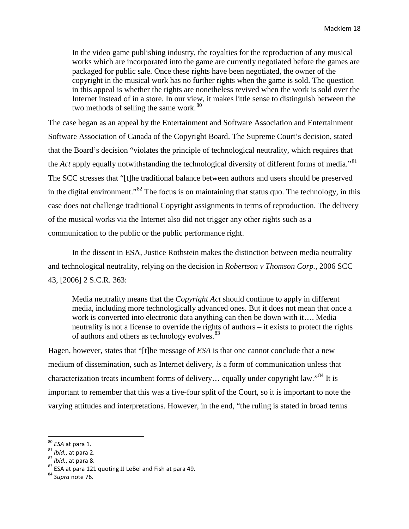In the video game publishing industry, the royalties for the reproduction of any musical works which are incorporated into the game are currently negotiated before the games are packaged for public sale. Once these rights have been negotiated, the owner of the copyright in the musical work has no further rights when the game is sold. The question in this appeal is whether the rights are nonetheless revived when the work is sold over the Internet instead of in a store. In our view, it makes little sense to distinguish between the two methods of selling the same work.<sup>[80](#page-17-0)</sup>

The case began as an appeal by the Entertainment and Software Association and Entertainment Software Association of Canada of the Copyright Board. The Supreme Court's decision, stated that the Board's decision "violates the principle of technological neutrality, which requires that the *Act* apply equally notwithstanding the technological diversity of different forms of media."<sup>[81](#page-17-1)</sup> The SCC stresses that "[t]he traditional balance between authors and users should be preserved in the digital environment."<sup>[82](#page-17-2)</sup> The focus is on maintaining that status quo. The technology, in this case does not challenge traditional Copyright assignments in terms of reproduction. The delivery of the musical works via the Internet also did not trigger any other rights such as a communication to the public or the public performance right.

In the dissent in ESA, Justice Rothstein makes the distinction between media neutrality and technological neutrality, relying on the decision in *Robertson v Thomson Corp.*, 2006 SCC 43, [2006] 2 S.C.R. 363:

Media neutrality means that the *Copyright Act* should continue to apply in different media, including more technologically advanced ones. But it does not mean that once a work is converted into electronic data anything can then be down with it…. Media neutrality is not a license to override the rights of authors – it exists to protect the rights of authors and others as technology evolves.<sup>[83](#page-17-3)</sup>

Hagen, however, states that "[t]he message of *ESA* is that one cannot conclude that a new medium of dissemination, such as Internet delivery, *is* a form of communication unless that characterization treats incumbent forms of delivery... equally under copyright law."<sup>[84](#page-17-4)</sup> It is important to remember that this was a five-four split of the Court, so it is important to note the varying attitudes and interpretations. However, in the end, "the ruling is stated in broad terms

<span id="page-17-3"></span><span id="page-17-2"></span>

<span id="page-17-1"></span><span id="page-17-0"></span><sup>80</sup> *ESA* at para 1. <sup>81</sup> *Ibid.*, at para 2. <sup>82</sup> *Ibid.*, at para 8. <sup>83</sup> ESA at para 121 quoting JJ LeBel and Fish at para 49. <sup>84</sup> *Supra* note 76.

<span id="page-17-4"></span>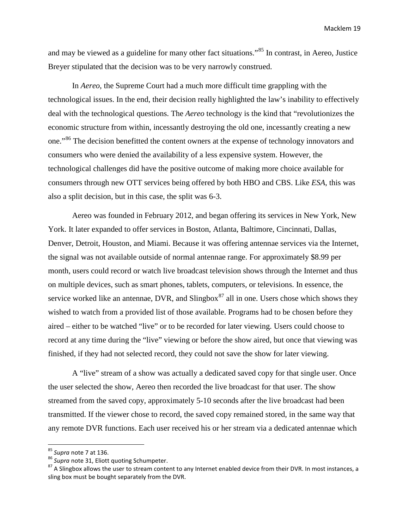and may be viewed as a guideline for many other fact situations."[85](#page-18-0) In contrast, in Aereo, Justice Breyer stipulated that the decision was to be very narrowly construed.

In *Aereo*, the Supreme Court had a much more difficult time grappling with the technological issues. In the end, their decision really highlighted the law's inability to effectively deal with the technological questions. The *Aereo* technology is the kind that "revolutionizes the economic structure from within, incessantly destroying the old one, incessantly creating a new one."<sup>[86](#page-18-1)</sup> The decision benefitted the content owners at the expense of technology innovators and consumers who were denied the availability of a less expensive system. However, the technological challenges did have the positive outcome of making more choice available for consumers through new OTT services being offered by both HBO and CBS. Like *ESA*, this was also a split decision, but in this case, the split was 6-3.

Aereo was founded in February 2012, and began offering its services in New York, New York. It later expanded to offer services in Boston, Atlanta, Baltimore, Cincinnati, Dallas, Denver, Detroit, Houston, and Miami. Because it was offering antennae services via the Internet, the signal was not available outside of normal antennae range. For approximately \$8.99 per month, users could record or watch live broadcast television shows through the Internet and thus on multiple devices, such as smart phones, tablets, computers, or televisions. In essence, the service worked like an antennae, DVR, and  $\text{Slingbox}^{87}$  $\text{Slingbox}^{87}$  $\text{Slingbox}^{87}$  all in one. Users chose which shows they wished to watch from a provided list of those available. Programs had to be chosen before they aired – either to be watched "live" or to be recorded for later viewing. Users could choose to record at any time during the "live" viewing or before the show aired, but once that viewing was finished, if they had not selected record, they could not save the show for later viewing.

A "live" stream of a show was actually a dedicated saved copy for that single user. Once the user selected the show, Aereo then recorded the live broadcast for that user. The show streamed from the saved copy, approximately 5-10 seconds after the live broadcast had been transmitted. If the viewer chose to record, the saved copy remained stored, in the same way that any remote DVR functions. Each user received his or her stream via a dedicated antennae which

<span id="page-18-2"></span>

<span id="page-18-1"></span><span id="page-18-0"></span><sup>&</sup>lt;sup>85</sup> Supra note 7 at 136.<br><sup>86</sup> Supra note 31, Eliott quoting Schumpeter.<br><sup>87</sup> A Slingbox allows the user to stream content to any Internet enabled device from their DVR. In most instances, a sling box must be bought separately from the DVR.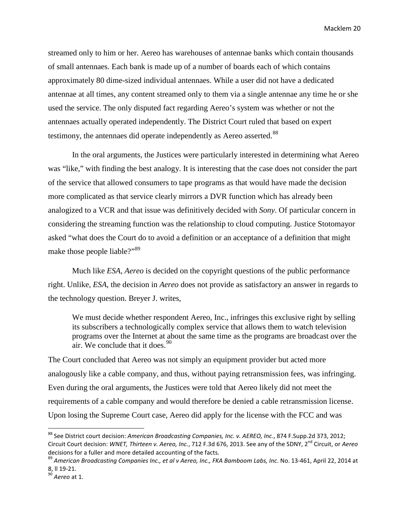streamed only to him or her. Aereo has warehouses of antennae banks which contain thousands of small antennaes. Each bank is made up of a number of boards each of which contains approximately 80 dime-sized individual antennaes. While a user did not have a dedicated antennae at all times, any content streamed only to them via a single antennae any time he or she used the service. The only disputed fact regarding Aereo's system was whether or not the antennaes actually operated independently. The District Court ruled that based on expert testimony, the antennaes did operate independently as Aereo asserted.<sup>[88](#page-19-0)</sup>

In the oral arguments, the Justices were particularly interested in determining what Aereo was "like," with finding the best analogy. It is interesting that the case does not consider the part of the service that allowed consumers to tape programs as that would have made the decision more complicated as that service clearly mirrors a DVR function which has already been analogized to a VCR and that issue was definitively decided with *Sony*. Of particular concern in considering the streaming function was the relationship to cloud computing. Justice Stotomayor asked "what does the Court do to avoid a definition or an acceptance of a definition that might make those people liable?"<sup>[89](#page-19-1)</sup>

Much like *ESA*, *Aereo* is decided on the copyright questions of the public performance right. Unlike, *ESA*, the decision in *Aereo* does not provide as satisfactory an answer in regards to the technology question. Breyer J. writes,

We must decide whether respondent Aereo, Inc., infringes this exclusive right by selling its subscribers a technologically complex service that allows them to watch television programs over the Internet at about the same time as the programs are broadcast over the air. We conclude that it does.  $90$ 

The Court concluded that Aereo was not simply an equipment provider but acted more analogously like a cable company, and thus, without paying retransmission fees, was infringing. Even during the oral arguments, the Justices were told that Aereo likely did not meet the requirements of a cable company and would therefore be denied a cable retransmission license. Upon losing the Supreme Court case, Aereo did apply for the license with the FCC and was

<span id="page-19-0"></span> <sup>88</sup> See District court decision: *American Broadcasting Companies, Inc. v. AEREO, Inc*., 874 F.Supp.2d 373, 2012; Circuit Court decision: *WNET, Thirteen v. Aereo, Inc.*, 712 F.3d 676, 2013. See any of the SDNY, 2nd Circuit, or *Aereo* decisions for a fuller and more detailed accounting of the facts.<br><sup>89</sup> American Broadcasting Companies Inc., et al v Aereo, Inc., FKA Bamboom Labs, Inc. No. 13-461, April 22, 2014 at

<span id="page-19-1"></span><sup>8,</sup> ll 19-21. <sup>90</sup> *Aereo* at 1.

<span id="page-19-2"></span>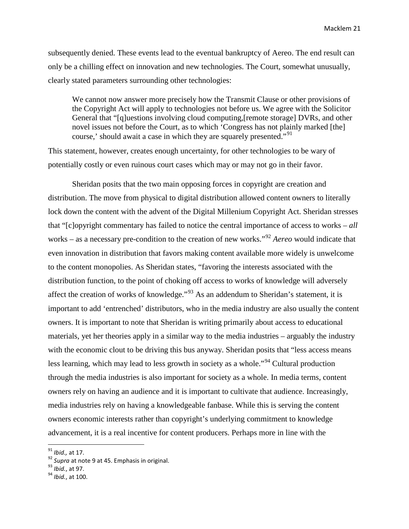subsequently denied. These events lead to the eventual bankruptcy of Aereo. The end result can only be a chilling effect on innovation and new technologies. The Court, somewhat unusually, clearly stated parameters surrounding other technologies:

We cannot now answer more precisely how the Transmit Clause or other provisions of the Copyright Act will apply to technologies not before us. We agree with the Solicitor General that "[q]uestions involving cloud computing,[remote storage] DVRs, and other novel issues not before the Court, as to which 'Congress has not plainly marked [the] course,' should await a case in which they are squarely presented."<sup>[91](#page-20-0)</sup>

This statement, however, creates enough uncertainty, for other technologies to be wary of potentially costly or even ruinous court cases which may or may not go in their favor.

Sheridan posits that the two main opposing forces in copyright are creation and distribution. The move from physical to digital distribution allowed content owners to literally lock down the content with the advent of the Digital Millenium Copyright Act. Sheridan stresses that "[c]opyright commentary has failed to notice the central importance of access to works – *all* works – as a necessary pre-condition to the creation of new works."[92](#page-20-1) *Aereo* would indicate that even innovation in distribution that favors making content available more widely is unwelcome to the content monopolies. As Sheridan states, "favoring the interests associated with the distribution function, to the point of choking off access to works of knowledge will adversely affect the creation of works of knowledge."<sup>[93](#page-20-2)</sup> As an addendum to Sheridan's statement, it is important to add 'entrenched' distributors, who in the media industry are also usually the content owners. It is important to note that Sheridan is writing primarily about access to educational materials, yet her theories apply in a similar way to the media industries – arguably the industry with the economic clout to be driving this bus anyway. Sheridan posits that "less access means" less learning, which may lead to less growth in society as a whole."[94](#page-20-3) Cultural production through the media industries is also important for society as a whole. In media terms, content owners rely on having an audience and it is important to cultivate that audience. Increasingly, media industries rely on having a knowledgeable fanbase. While this is serving the content owners economic interests rather than copyright's underlying commitment to knowledge advancement, it is a real incentive for content producers. Perhaps more in line with the

<span id="page-20-1"></span><span id="page-20-0"></span><sup>91</sup> *Ibid.,* at 17. <sup>92</sup> *Supra* at note 9 at 45. Emphasis in original. <sup>93</sup> *Ibid.*, at 97. <sup>94</sup> *Ibid.*, at 100.

<span id="page-20-2"></span>

<span id="page-20-3"></span>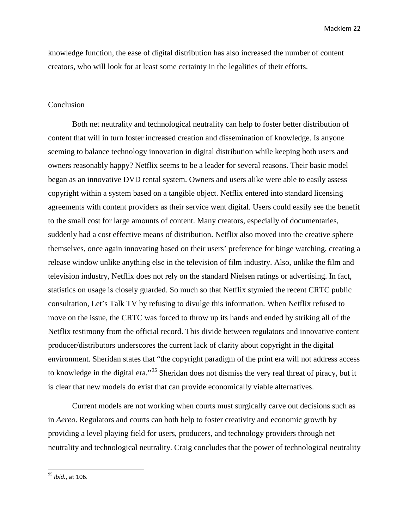knowledge function, the ease of digital distribution has also increased the number of content creators, who will look for at least some certainty in the legalities of their efforts.

#### Conclusion

Both net neutrality and technological neutrality can help to foster better distribution of content that will in turn foster increased creation and dissemination of knowledge. Is anyone seeming to balance technology innovation in digital distribution while keeping both users and owners reasonably happy? Netflix seems to be a leader for several reasons. Their basic model began as an innovative DVD rental system. Owners and users alike were able to easily assess copyright within a system based on a tangible object. Netflix entered into standard licensing agreements with content providers as their service went digital. Users could easily see the benefit to the small cost for large amounts of content. Many creators, especially of documentaries, suddenly had a cost effective means of distribution. Netflix also moved into the creative sphere themselves, once again innovating based on their users' preference for binge watching, creating a release window unlike anything else in the television of film industry. Also, unlike the film and television industry, Netflix does not rely on the standard Nielsen ratings or advertising. In fact, statistics on usage is closely guarded. So much so that Netflix stymied the recent CRTC public consultation, Let's Talk TV by refusing to divulge this information. When Netflix refused to move on the issue, the CRTC was forced to throw up its hands and ended by striking all of the Netflix testimony from the official record. This divide between regulators and innovative content producer/distributors underscores the current lack of clarity about copyright in the digital environment. Sheridan states that "the copyright paradigm of the print era will not address access to knowledge in the digital era."[95](#page-21-0) Sheridan does not dismiss the very real threat of piracy, but it is clear that new models do exist that can provide economically viable alternatives.

Current models are not working when courts must surgically carve out decisions such as in *Aereo*. Regulators and courts can both help to foster creativity and economic growth by providing a level playing field for users, producers, and technology providers through net neutrality and technological neutrality. Craig concludes that the power of technological neutrality

<span id="page-21-0"></span> <sup>95</sup> *Ibid.*, at 106.